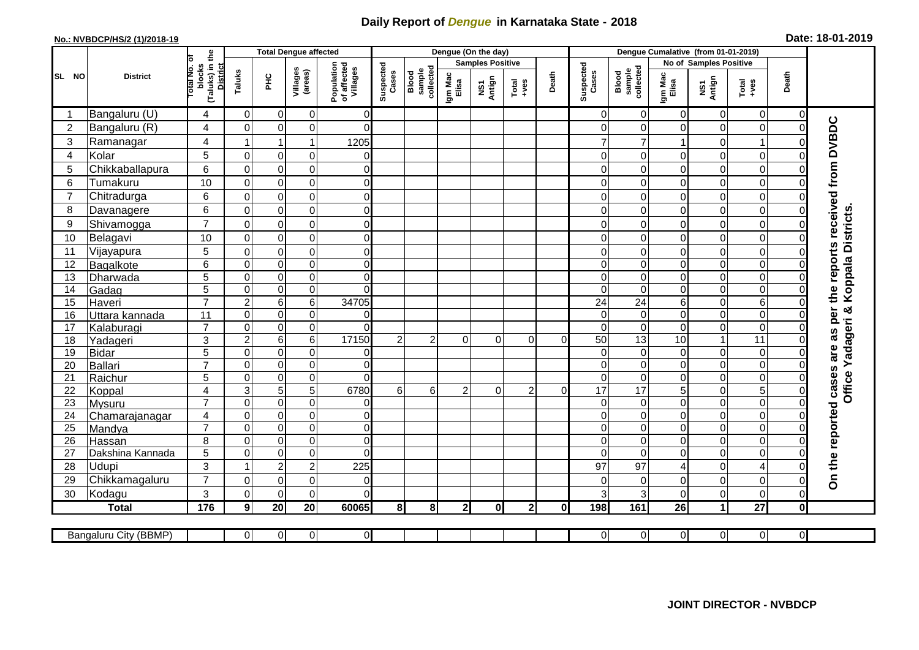## **Daily Report of** *Dengue* **in Karnataka State - 2018**

## **No.: NVBDCP/HS/2 (1)/2018-19 Date: 18-01-2019**

|                  | <b>District</b>       |                                          | <b>Total Dengue affected</b> |                 |                     |                                       |                    |                              |                         | Dengue (On the day) |                |          |                    |                              |                  |                        |                 |                |                                                                  |
|------------------|-----------------------|------------------------------------------|------------------------------|-----------------|---------------------|---------------------------------------|--------------------|------------------------------|-------------------------|---------------------|----------------|----------|--------------------|------------------------------|------------------|------------------------|-----------------|----------------|------------------------------------------------------------------|
|                  |                       |                                          |                              |                 |                     |                                       |                    |                              | <b>Samples Positive</b> |                     |                |          |                    |                              |                  | No of Samples Positive |                 |                |                                                                  |
| SL NO            |                       | (Taluks) in the<br>otal No. ol<br>blocks | Taluks                       | PНC             | Villages<br>(areas) | Population<br>of affected<br>Villages | Suspected<br>Cases | Blood<br>sample<br>collected | Igm Mac<br>Elisa        | NS1<br>Antign       | $Total$        | Death    | Suspected<br>Cases | collected<br>sample<br>Blood | Igm Mac<br>Elisa | NS1<br>Antign          | Total<br>+ves   | Death          |                                                                  |
|                  | Bangaluru (U)         | 4                                        | 0                            | 0               | 0                   | $\overline{0}$                        |                    |                              |                         |                     |                |          | 0                  | $\mathbf 0$                  | 0                | 0                      | $\overline{0}$  | 0              |                                                                  |
| $\boldsymbol{2}$ | Bangaluru (R)         | $\overline{4}$                           | $\mathbf 0$                  | $\mathbf 0$     | 0                   | $\overline{0}$                        |                    |                              |                         |                     |                |          | $\Omega$           | $\mathbf 0$                  | 0                | 0                      | $\mathbf 0$     | $\mathbf 0$    |                                                                  |
| 3                | Ramanagar             | 4                                        |                              | $\overline{1}$  | $\mathbf{1}$        | 1205                                  |                    |                              |                         |                     |                |          |                    | 7                            |                  | 0                      | 1               | $\Omega$       | On the reported cases are as per the reports received from DVBDC |
| 4                | Kolar                 | 5                                        | $\overline{0}$               | $\mathbf 0$     | $\mathbf 0$         | $\mathbf 0$                           |                    |                              |                         |                     |                |          | 0                  | $\overline{0}$               | $\Omega$         | 0                      | $\overline{0}$  | $\mathbf 0$    |                                                                  |
| 5                | Chikkaballapura       | 6                                        | $\mathbf 0$                  | $\mathbf 0$     | $\mathbf 0$         | $\overline{0}$                        |                    |                              |                         |                     |                |          | $\Omega$           | $\Omega$                     | 0                | 0                      | $\overline{0}$  | $\mathbf 0$    |                                                                  |
| 6                | Tumakuru              | 10                                       | $\Omega$                     | $\mathbf 0$     | $\pmb{0}$           | $\overline{0}$                        |                    |                              |                         |                     |                |          | $\Omega$           | $\Omega$                     | 0                | 0                      | $\overline{0}$  | $\Omega$       |                                                                  |
| $\overline{7}$   | Chitradurga           | 6                                        | $\mathbf 0$                  | $\mathbf 0$     | $\mathsf 0$         | $\overline{0}$                        |                    |                              |                         |                     |                |          | $\Omega$           | $\Omega$                     | 0                | 0                      | $\overline{0}$  | $\Omega$       |                                                                  |
| 8                | Davanagere            | 6                                        | $\mathbf 0$                  | $\mathbf 0$     | $\mathbf 0$         | $\overline{0}$                        |                    |                              |                         |                     |                |          | $\Omega$           | $\Omega$                     | $\Omega$         | 0                      | $\overline{0}$  | $\Omega$       |                                                                  |
| 9                | Shivamogga            | $\overline{7}$                           | $\Omega$                     | $\mathbf 0$     | $\pmb{0}$           | $\Omega$                              |                    |                              |                         |                     |                |          | $\Omega$           | $\Omega$                     | 0                | 0                      | $\mathbf 0$     | 0              | Koppala Districts                                                |
| 10               | Belagavi              | 10                                       | $\Omega$                     | $\mathbf 0$     | $\pmb{0}$           | $\Omega$                              |                    |                              |                         |                     |                |          | $\Omega$           | $\Omega$                     | $\Omega$         | 0                      | $\mathbf 0$     | $\Omega$       |                                                                  |
| 11               | Vijayapura            | 5                                        | $\mathbf 0$                  | $\mathbf 0$     | $\mathbf 0$         | $\overline{0}$                        |                    |                              |                         |                     |                |          | 0                  | $\mathbf 0$                  | 0                | 0                      | o               | $\mathbf 0$    |                                                                  |
| 12               | Bagalkote             | 6                                        | $\Omega$                     | $\mathbf 0$     | $\overline{0}$      | $\overline{0}$                        |                    |                              |                         |                     |                |          | $\Omega$           | $\overline{0}$               | $\Omega$         | 0                      | $\overline{0}$  | $\Omega$       |                                                                  |
| 13               | Dharwada              | $\overline{5}$                           | $\mathbf 0$                  | $\overline{0}$  | $\overline{0}$      | $\overline{0}$                        |                    |                              |                         |                     |                |          | $\Omega$           | $\mathbf 0$                  | 0                | $\overline{0}$         | $\overline{0}$  | $\Omega$       |                                                                  |
| 14               | Gadag                 | $\overline{5}$                           | $\mathbf 0$                  | $\pmb{0}$       | $\overline{0}$      | $\Omega$                              |                    |                              |                         |                     |                |          | $\Omega$           | $\overline{0}$               | 0                | 0                      | $\overline{0}$  | $\Omega$       |                                                                  |
| 15               | Haveri                | $\overline{7}$                           | $\mathbf 2$                  | $6\phantom{1}6$ | $\overline{6}$      | 34705                                 |                    |                              |                         |                     |                |          | 24                 | 24                           | 6                | 0                      | 6               | $\Omega$       |                                                                  |
| 16               | Uttara kannada        | 11                                       | $\mathbf 0$                  | $\mathbf 0$     | 0                   | $\overline{0}$                        |                    |                              |                         |                     |                |          | $\Omega$           | $\Omega$                     | 0                | 0                      | $\overline{0}$  | $\Omega$       | Yadageri &                                                       |
| 17               | Kalaburagi            | $\overline{7}$                           | $\mathbf 0$                  | $\mathbf 0$     | $\mathbf 0$         | $\Omega$                              |                    |                              |                         |                     |                |          | $\Omega$           | $\Omega$                     | $\Omega$         | 0                      | $\overline{0}$  | $\Omega$       |                                                                  |
| 18               | Yadageri              | 3                                        | $\overline{c}$               | $\,6$           | 6                   | 17150                                 | 2                  | 2                            | $\Omega$                | $\Omega$            | $\overline{0}$ | $\Omega$ | 50                 | 13                           | 10               | 1                      | $\overline{11}$ | $\Omega$       |                                                                  |
| 19               | <b>Bidar</b>          | 5                                        | $\mathbf 0$                  | $\pmb{0}$       | 0                   | $\overline{0}$                        |                    |                              |                         |                     |                |          | $\Omega$           | $\Omega$                     | $\mathbf 0$      | 0                      | $\overline{0}$  | $\mathbf 0$    |                                                                  |
| 20               | Ballari               | $\overline{7}$                           | $\mathbf 0$                  | $\mathbf 0$     | $\overline{0}$      | $\overline{0}$                        |                    |                              |                         |                     |                |          | $\Omega$           | $\mathbf 0$                  | 0                | 0                      | $\overline{0}$  | $\Omega$       |                                                                  |
| 21               | Raichur               | 5                                        | $\Omega$                     | 0               | $\pmb{0}$           | $\Omega$                              |                    |                              |                         |                     |                |          | $\Omega$           | $\Omega$                     | 0                | 0                      | O               | $\mathbf 0$    | Office                                                           |
| 22               | Koppal                | $\overline{4}$                           | 3                            | 5               | $\overline{5}$      | 6780                                  | 6 <sup>1</sup>     | $6 \overline{6}$             | $\overline{2}$          | $\Omega$            | $\overline{2}$ | $\Omega$ | 17                 | $\overline{17}$              | 5                | $\mathbf 0$            | $\overline{5}$  | $\overline{0}$ |                                                                  |
| 23               | Mysuru                | $\overline{7}$                           | $\mathbf 0$                  | $\mathbf 0$     | $\pmb{0}$           | $\Omega$                              |                    |                              |                         |                     |                |          | $\Omega$           | $\overline{0}$               | 0                | 0                      | $\overline{0}$  | $\mathbf 0$    |                                                                  |
| 24               | Chamarajanagar        | $\overline{4}$                           | $\Omega$                     | $\pmb{0}$       | $\overline{0}$      | $\overline{0}$                        |                    |                              |                         |                     |                |          | $\Omega$           | $\overline{0}$               | $\mathbf 0$      | 0                      | $\overline{0}$  | $\mathbf 0$    |                                                                  |
| $\overline{25}$  | Mandya                | $\overline{7}$                           | $\mathbf 0$                  | $\mathbf 0$     | $\overline{0}$      | $\overline{0}$                        |                    |                              |                         |                     |                |          | $\Omega$           | $\overline{\mathsf{o}}$      | 0                | 0                      | $\overline{0}$  | 0              |                                                                  |
| 26               | Hassan                | 8                                        | $\mathbf 0$                  | $\mathbf 0$     | $\pmb{0}$           | $\overline{0}$                        |                    |                              |                         |                     |                |          | $\Omega$           | $\Omega$                     | $\Omega$         | 0                      | $\overline{0}$  | $\mathbf 0$    |                                                                  |
| 27               | Dakshina Kannada      | 5                                        | $\mathbf 0$                  | $\mathbf 0$     | $\overline{0}$      | $\overline{0}$                        |                    |                              |                         |                     |                |          | $\Omega$           | $\overline{0}$               | 0                | 0                      | O               | $\mathbf 0$    |                                                                  |
| 28               | Udupi                 | 3                                        | 1                            | $\overline{2}$  | $\overline{c}$      | 225                                   |                    |                              |                         |                     |                |          | 97                 | 97                           | 4                | 0                      | 4               | $\Omega$       |                                                                  |
| 29               | Chikkamagaluru        | $\overline{7}$                           | $\overline{0}$               | $\mathbf 0$     | $\pmb{0}$           | $\overline{0}$                        |                    |                              |                         |                     |                |          | $\Omega$           | $\Omega$                     | $\Omega$         | 0                      | $\overline{0}$  | $\Omega$       |                                                                  |
| 30               | Kodagu                | 3                                        | $\Omega$                     | $\mathbf 0$     | $\mathbf 0$         | $\Omega$                              |                    |                              |                         |                     |                |          | 3                  | 3                            | $\Omega$         | 0                      | $\overline{0}$  | $\Omega$       |                                                                  |
|                  | <b>Total</b>          | 176                                      | 9                            | 20              | 20                  | 60065                                 | 8 <sup>l</sup>     | 8 <sup>1</sup>               | 2 <sub>l</sub>          | 0                   | 2 <sub>l</sub> | 0l       | 198                | 161                          | 26               | $\mathbf{1}$           | $\overline{27}$ | $\pmb{0}$      |                                                                  |
|                  |                       |                                          | $\overline{0}$               |                 | $\overline{0}$      | $\overline{O}$                        |                    |                              |                         |                     |                |          | 0                  | $\overline{0}$               | $\overline{0}$   | $\overline{0}$         | $\overline{0}$  | $\overline{0}$ |                                                                  |
|                  | Bangaluru City (BBMP) |                                          |                              | $\overline{0}$  |                     |                                       |                    |                              |                         |                     |                |          |                    |                              |                  |                        |                 |                |                                                                  |